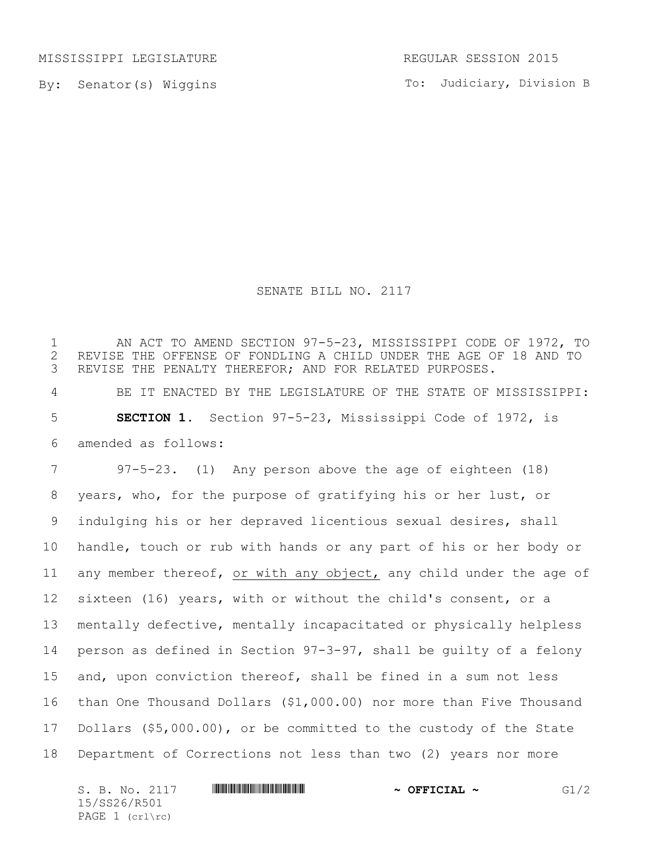MISSISSIPPI LEGISLATURE REGULAR SESSION 2015

By: Senator(s) Wiggins

To: Judiciary, Division B

## SENATE BILL NO. 2117

 AN ACT TO AMEND SECTION 97-5-23, MISSISSIPPI CODE OF 1972, TO 2 REVISE THE OFFENSE OF FONDLING A CHILD UNDER THE AGE OF 18 AND TO<br>3 REVISE THE PENALTY THEREFOR; AND FOR RELATED PURPOSES. REVISE THE PENALTY THEREFOR; AND FOR RELATED PURPOSES. BE IT ENACTED BY THE LEGISLATURE OF THE STATE OF MISSISSIPPI: **SECTION 1.** Section 97-5-23, Mississippi Code of 1972, is amended as follows: 97-5-23. (1) Any person above the age of eighteen (18) years, who, for the purpose of gratifying his or her lust, or indulging his or her depraved licentious sexual desires, shall handle, touch or rub with hands or any part of his or her body or any member thereof, or with any object, any child under the age of sixteen (16) years, with or without the child's consent, or a mentally defective, mentally incapacitated or physically helpless person as defined in Section 97-3-97, shall be guilty of a felony and, upon conviction thereof, shall be fined in a sum not less than One Thousand Dollars (\$1,000.00) nor more than Five Thousand Dollars (\$5,000.00), or be committed to the custody of the State Department of Corrections not less than two (2) years nor more

S. B. No. 2117 \*SS26/R501\* **~ OFFICIAL ~** G1/2 15/SS26/R501 PAGE 1 (crl\rc)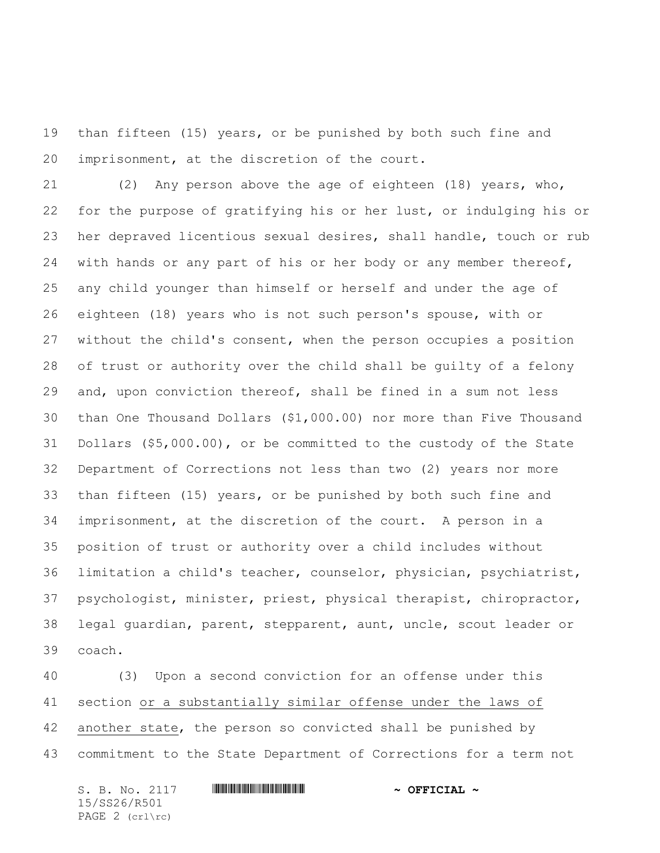than fifteen (15) years, or be punished by both such fine and imprisonment, at the discretion of the court.

 (2) Any person above the age of eighteen (18) years, who, for the purpose of gratifying his or her lust, or indulging his or her depraved licentious sexual desires, shall handle, touch or rub with hands or any part of his or her body or any member thereof, any child younger than himself or herself and under the age of eighteen (18) years who is not such person's spouse, with or without the child's consent, when the person occupies a position of trust or authority over the child shall be guilty of a felony and, upon conviction thereof, shall be fined in a sum not less than One Thousand Dollars (\$1,000.00) nor more than Five Thousand Dollars (\$5,000.00), or be committed to the custody of the State Department of Corrections not less than two (2) years nor more than fifteen (15) years, or be punished by both such fine and imprisonment, at the discretion of the court. A person in a position of trust or authority over a child includes without limitation a child's teacher, counselor, physician, psychiatrist, psychologist, minister, priest, physical therapist, chiropractor, legal guardian, parent, stepparent, aunt, uncle, scout leader or coach.

 (3) Upon a second conviction for an offense under this section or a substantially similar offense under the laws of another state, the person so convicted shall be punished by commitment to the State Department of Corrections for a term not

S. B. No. 2117 \*SS26/R501\* **~ OFFICIAL ~** 15/SS26/R501 PAGE 2 (crl\rc)